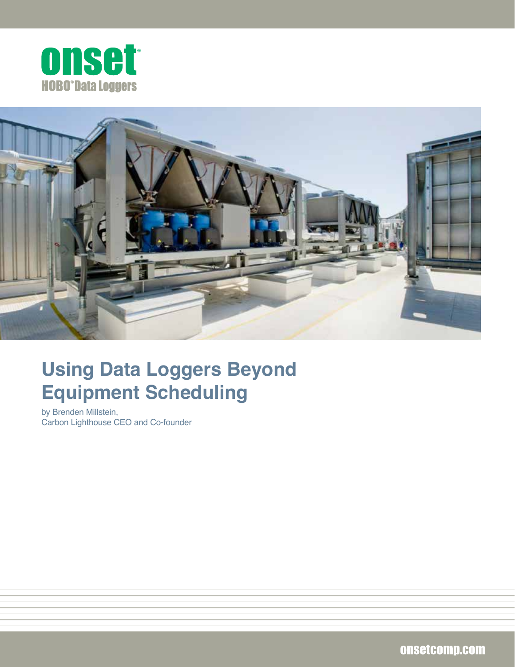



# **Using Data Loggers Beyond Equipment Scheduling**

by Brenden Millstein, Carbon Lighthouse CEO and Co-founder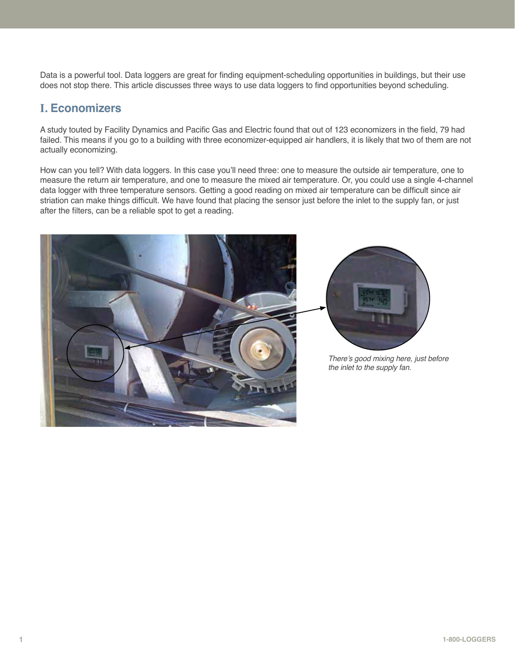Data is a powerful tool. Data loggers are great for finding equipment-scheduling opportunities in buildings, but their use does not stop there. This article discusses three ways to use data loggers to find opportunities beyond scheduling.

# **I. Economizers**

A study touted by Facility Dynamics and Pacific Gas and Electric found that out of 123 economizers in the field, 79 had failed. This means if you go to a building with three economizer-equipped air handlers, it is likely that two of them are not actually economizing.

How can you tell? With data loggers. In this case you'll need three: one to measure the outside air temperature, one to measure the return air temperature, and one to measure the mixed air temperature. Or, you could use a single 4-channel data logger with three temperature sensors. Getting a good reading on mixed air temperature can be difficult since air striation can make things difficult. We have found that placing the sensor just before the inlet to the supply fan, or just after the filters, can be a reliable spot to get a reading.





There's good mixing here, just before the inlet to the supply fan.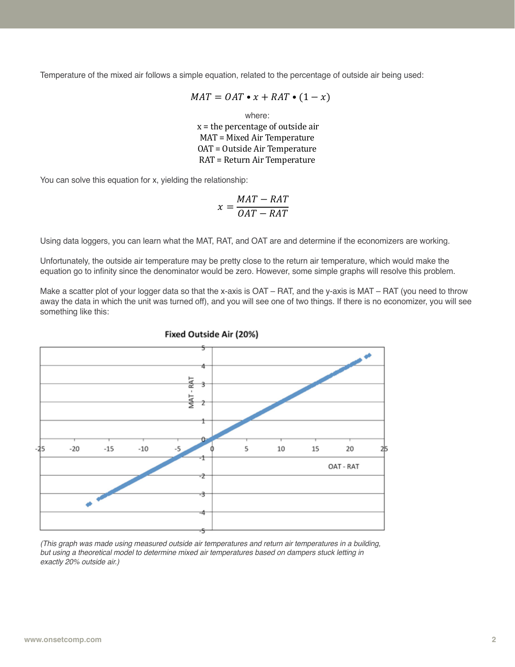Temperature of the mixed air follows a simple equation, related to the percentage of outside air being used:

$$
MAT = OAT \bullet x + RAT \bullet (1 - x)
$$

where:  $x =$  the percentage of outside air MAT = Mixed Air Temperature OAT = Outside Air Temperature RAT = Return Air Temperature

You can solve this equation for x, yielding the relationship:

$$
x = \frac{MAT - RAT}{OAT - RAT}
$$

Using data loggers, you can learn what the MAT, RAT, and OAT are and determine if the economizers are working.

Unfortunately, the outside air temperature may be pretty close to the return air temperature, which would make the equation go to infinity since the denominator would be zero. However, some simple graphs will resolve this problem.

Make a scatter plot of your logger data so that the x-axis is OAT – RAT, and the y-axis is MAT – RAT (you need to throw away the data in which the unit was turned off), and you will see one of two things. If there is no economizer, you will see something like this:



Fixed Outside Air (20%)

(This graph was made using measured outside air temperatures and return air temperatures in a building, but using a theoretical model to determine mixed air temperatures based on dampers stuck letting in exactly 20% outside air.)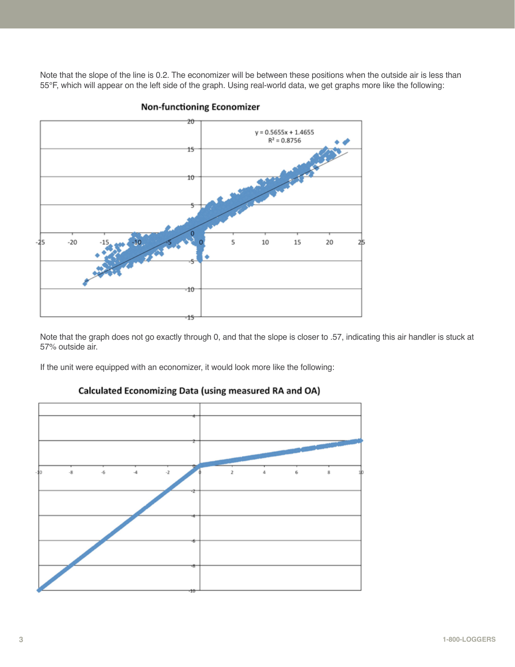Note that the slope of the line is 0.2. The economizer will be between these positions when the outside air is less than 55°F, which will appear on the left side of the graph. Using real-world data, we get graphs more like the following:



## **Non-functioning Economizer**

Note that the graph does not go exactly through 0, and that the slope is closer to .57, indicating this air handler is stuck at 57% outside air.

If the unit were equipped with an economizer, it would look more like the following:



# Calculated Economizing Data (using measured RA and OA)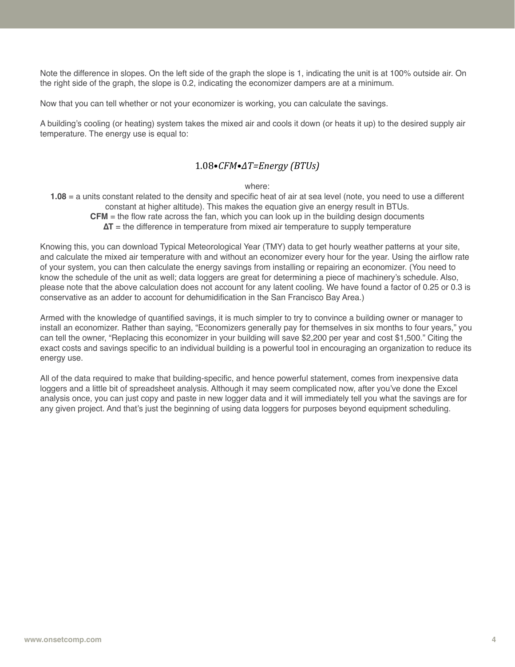Note the difference in slopes. On the left side of the graph the slope is 1, indicating the unit is at 100% outside air. On the right side of the graph, the slope is 0.2, indicating the economizer dampers are at a minimum.

Now that you can tell whether or not your economizer is working, you can calculate the savings.

A building's cooling (or heating) system takes the mixed air and cools it down (or heats it up) to the desired supply air temperature. The energy use is equal to:

## 1.08•*CFM•∆T=Energy (BTUs)*

#### where:

**1.08** = a units constant related to the density and specific heat of air at sea level (note, you need to use a different constant at higher altitude). This makes the equation give an energy result in BTUs. **CFM** = the flow rate across the fan, which you can look up in the building design documents **∆T** = the difference in temperature from mixed air temperature to supply temperature

Knowing this, you can download Typical Meteorological Year (TMY) data to get hourly weather patterns at your site, and calculate the mixed air temperature with and without an economizer every hour for the year. Using the airflow rate of your system, you can then calculate the energy savings from installing or repairing an economizer. (You need to know the schedule of the unit as well; data loggers are great for determining a piece of machinery's schedule. Also, please note that the above calculation does not account for any latent cooling. We have found a factor of 0.25 or 0.3 is conservative as an adder to account for dehumidification in the San Francisco Bay Area.)

Armed with the knowledge of quantified savings, it is much simpler to try to convince a building owner or manager to install an economizer. Rather than saying, "Economizers generally pay for themselves in six months to four years," you can tell the owner, "Replacing this economizer in your building will save \$2,200 per year and cost \$1,500." Citing the exact costs and savings specific to an individual building is a powerful tool in encouraging an organization to reduce its energy use.

All of the data required to make that building-specific, and hence powerful statement, comes from inexpensive data loggers and a little bit of spreadsheet analysis. Although it may seem complicated now, after you've done the Excel analysis once, you can just copy and paste in new logger data and it will immediately tell you what the savings are for any given project. And that's just the beginning of using data loggers for purposes beyond equipment scheduling.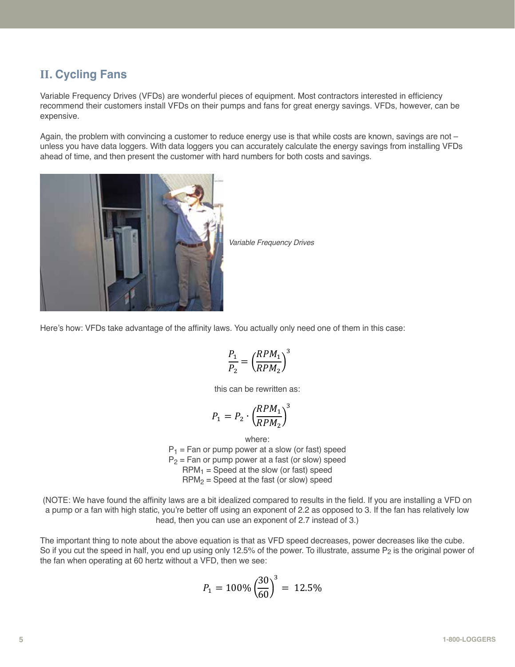# **II. Cycling Fans**

Variable Frequency Drives (VFDs) are wonderful pieces of equipment. Most contractors interested in efficiency recommend their customers install VFDs on their pumps and fans for great energy savings. VFDs, however, can be expensive.

Again, the problem with convincing a customer to reduce energy use is that while costs are known, savings are not – unless you have data loggers. With data loggers you can accurately calculate the energy savings from installing VFDs ahead of time, and then present the customer with hard numbers for both costs and savings.



Variable Frequency Drives

Here's how: VFDs take advantage of the affinity laws. You actually only need one of them in this case:

$$
\frac{P_1}{P_2} = \left(\frac{RPM_1}{RPM_2}\right)^3
$$

this can be rewritten as:

$$
P_1 = P_2 \cdot \left(\frac{R P M_1}{R P M_2}\right)^3
$$

where:  $P_1$  = Fan or pump power at a slow (or fast) speed  $P_2$  = Fan or pump power at a fast (or slow) speed  $RPM<sub>1</sub>$  = Speed at the slow (or fast) speed  $RPM<sub>2</sub>$  = Speed at the fast (or slow) speed

(NOTE: We have found the affinity laws are a bit idealized compared to results in the field. If you are installing a VFD on a pump or a fan with high static, you're better off using an exponent of 2.2 as opposed to 3. If the fan has relatively low head, then you can use an exponent of 2.7 instead of 3.)

The important thing to note about the above equation is that as VFD speed decreases, power decreases like the cube. So if you cut the speed in half, you end up using only 12.5% of the power. To illustrate, assume P<sub>2</sub> is the original power of the fan when operating at 60 hertz without a VFD, then we see:

$$
P_1 = 100\% \left(\frac{30}{60}\right)^3 = 12.5\%
$$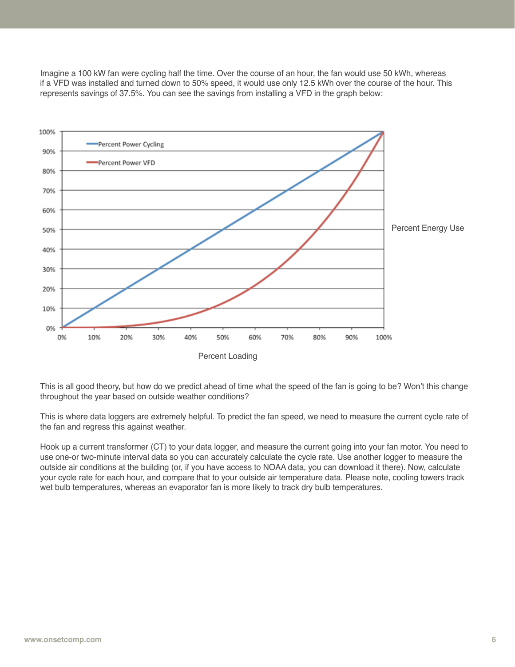Imagine a 100 kW fan were cycling half the time. Over the course of an hour, the fan would use 50 kWh, whereas if a VFD was installed and turned down to 50% speed, it would use only 12.5 kWh over the course of the hour. This represents savings of 37.5%. You can see the savings from installing a VFD in the graph below:



This is all good theory, but how do we predict ahead of time what the speed of the fan is going to be? Won't this change throughout the year based on outside weather conditions?

This is where data loggers are extremely helpful. To predict the fan speed, we need to measure the current cycle rate of the fan and regress this against weather.

Hook up a current transformer (CT) to your data logger, and measure the current going into your fan motor. You need to use one-or two-minute interval data so you can accurately calculate the cycle rate. Use another logger to measure the outside air conditions at the building (or, if you have access to NOAA data, you can download it there). Now, calculate your cycle rate for each hour, and compare that to your outside air temperature data. Please note, cooling towers track wet bulb temperatures, whereas an evaporator fan is more likely to track dry bulb temperatures.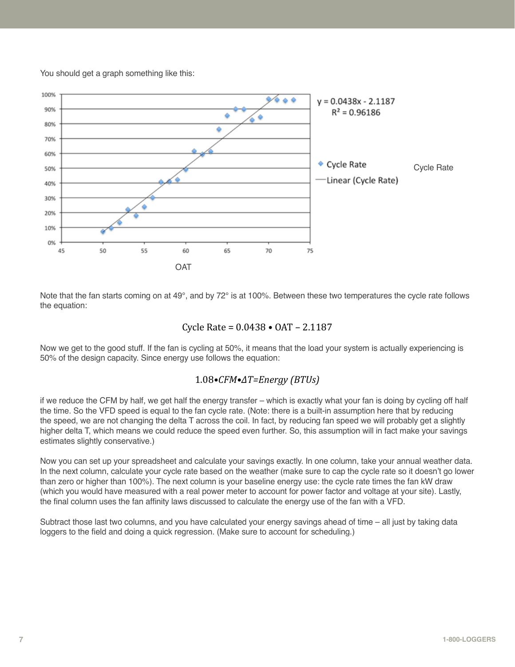You should get a graph something like this:



Note that the fan starts coming on at 49 $^{\circ}$ , and by 72 $^{\circ}$  is at 100%. Between these two temperatures the cycle rate follows the equation:

## Cycle Rate = 0.0438 • OAT – 2.1187

Now we get to the good stuff. If the fan is cycling at 50%, it means that the load your system is actually experiencing is 50% of the design capacity. Since energy use follows the equation:

# 1.08*•CFM•∆T=Energy (BTUs)*

if we reduce the CFM by half, we get half the energy transfer – which is exactly what your fan is doing by cycling off half the time. So the VFD speed is equal to the fan cycle rate. (Note: there is a built-in assumption here that by reducing the speed, we are not changing the delta T across the coil. In fact, by reducing fan speed we will probably get a slightly higher delta T, which means we could reduce the speed even further. So, this assumption will in fact make your savings estimates slightly conservative.)

Now you can set up your spreadsheet and calculate your savings exactly. In one column, take your annual weather data. In the next column, calculate your cycle rate based on the weather (make sure to cap the cycle rate so it doesn't go lower than zero or higher than 100%). The next column is your baseline energy use: the cycle rate times the fan kW draw (which you would have measured with a real power meter to account for power factor and voltage at your site). Lastly, the final column uses the fan affinity laws discussed to calculate the energy use of the fan with a VFD.

Subtract those last two columns, and you have calculated your energy savings ahead of time – all just by taking data loggers to the field and doing a quick regression. (Make sure to account for scheduling.)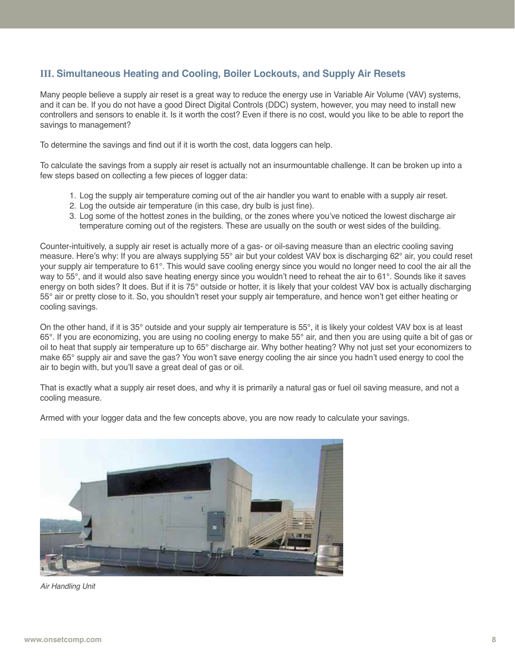# **III. Simultaneous Heating and Cooling, Boiler Lockouts, and Supply Air Resets**

Many people believe a supply air reset is a great way to reduce the energy use in Variable Air Volume (VAV) systems, and it can be. If you do not have a good Direct Digital Controls (DDC) system, however, you may need to install new controllers and sensors to enable it. Is it worth the cost? Even if there is no cost, would you like to be able to report the savings to management?

To determine the savings and find out if it is worth the cost, data loggers can help.

To calculate the savings from a supply air reset is actually not an insurmountable challenge. It can be broken up into a few steps based on collecting a few pieces of logger data:

- 1. Log the supply air temperature coming out of the air handler you want to enable with a supply air reset.
- 2. Log the outside air temperature (in this case, dry bulb is just fine).
- 3. Log some of the hottest zones in the building, or the zones where you've noticed the lowest discharge air temperature coming out of the registers. These are usually on the south or west sides of the building.

Counter-intuitively, a supply air reset is actually more of a gas- or oil-saving measure than an electric cooling saving measure. Here's why: If you are always supplying 55° air but your coldest VAV box is discharging 62° air, you could reset your supply air temperature to 61°. This would save cooling energy since you would no longer need to cool the air all the way to 55°, and it would also save heating energy since you wouldn't need to reheat the air to 61°. Sounds like it saves energy on both sides? It does. But if it is 75° outside or hotter, it is likely that your coldest VAV box is actually discharging 55° air or pretty close to it. So, you shouldn't reset your supply air temperature, and hence won't get either heating or cooling savings.

On the other hand, if it is 35° outside and your supply air temperature is 55°, it is likely your coldest VAV box is at least 65°. If you are economizing, you are using no cooling energy to make 55° air, and then you are using quite a bit of gas or oil to heat that supply air temperature up to 65° discharge air. Why bother heating? Why not just set your economizers to make 65° supply air and save the gas? You won't save energy cooling the air since you hadn't used energy to cool the air to begin with, but you'll save a great deal of gas or oil.

That is exactly what a supply air reset does, and why it is primarily a natural gas or fuel oil saving measure, and not a cooling measure.

Armed with your logger data and the few concepts above, you are now ready to calculate your savings.



Air Handling Unit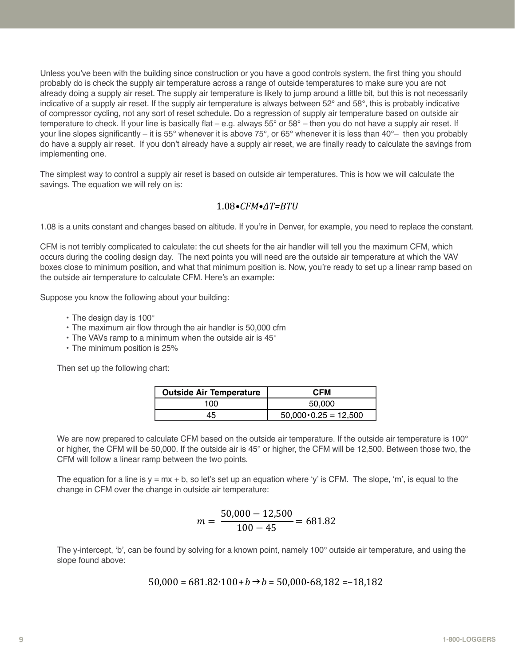Unless you've been with the building since construction or you have a good controls system, the first thing you should probably do is check the supply air temperature across a range of outside temperatures to make sure you are not already doing a supply air reset. The supply air temperature is likely to jump around a little bit, but this is not necessarily indicative of a supply air reset. If the supply air temperature is always between  $52^{\circ}$  and  $58^{\circ}$ , this is probably indicative of compressor cycling, not any sort of reset schedule. Do a regression of supply air temperature based on outside air temperature to check. If your line is basically flat – e.g. always  $55^{\circ}$  or  $58^{\circ}$  – then you do not have a supply air reset. If your line slopes significantly – it is 55° whenever it is above 75°, or 65° whenever it is less than 40°– then you probably do have a supply air reset. If you don't already have a supply air reset, we are finally ready to calculate the savings from implementing one.

The simplest way to control a supply air reset is based on outside air temperatures. This is how we will calculate the savings. The equation we will rely on is:

# 1.08*•CFM•∆T=BTU*

1.08 is a units constant and changes based on altitude. If you're in Denver, for example, you need to replace the constant.

CFM is not terribly complicated to calculate: the cut sheets for the air handler will tell you the maximum CFM, which occurs during the cooling design day. The next points you will need are the outside air temperature at which the VAV boxes close to minimum position, and what that minimum position is. Now, you're ready to set up a linear ramp based on the outside air temperature to calculate CFM. Here's an example:

Suppose you know the following about your building:

- The design day is 100°
- The maximum air flow through the air handler is 50,000 cfm
- The VAVs ramp to a minimum when the outside air is 45°
- The minimum position is 25%

Then set up the following chart:

| <b>Outside Air Temperature</b> | <b>CFM</b>                   |  |  |  |  |  |  |
|--------------------------------|------------------------------|--|--|--|--|--|--|
| 100                            | 50,000                       |  |  |  |  |  |  |
| 45                             | $50,000 \cdot 0.25 = 12,500$ |  |  |  |  |  |  |

We are now prepared to calculate CFM based on the outside air temperature. If the outside air temperature is 100° or higher, the CFM will be 50,000. If the outside air is 45° or higher, the CFM will be 12,500. Between those two, the CFM will follow a linear ramp between the two points.

The equation for a line is  $y = mx + b$ , so let's set up an equation where 'y' is CFM. The slope, 'm', is equal to the change in CFM over the change in outside air temperature:

$$
m = \frac{50,000 - 12,500}{100 - 45} = 681.82
$$

The y-intercept, 'b', can be found by solving for a known point, namely 100° outside air temperature, and using the slope found above:

$$
50,000 = 681.82 \cdot 100 + b \rightarrow b = 50,000 - 68,182 = -18,182
$$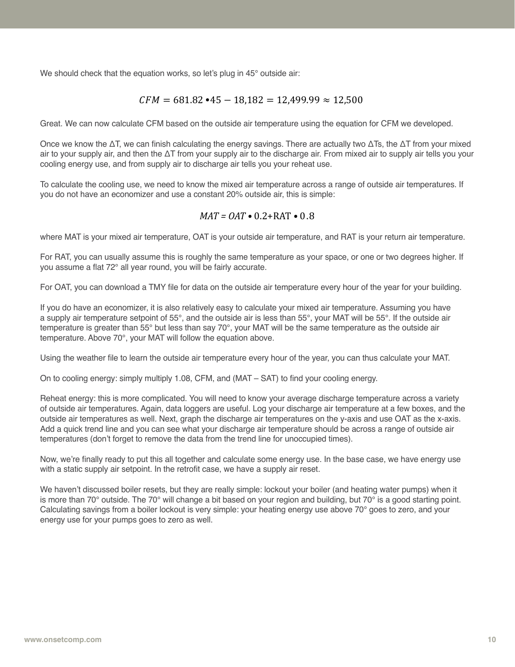We should check that the equation works, so let's plug in 45° outside air:

## $CFM = 681.82 \cdot 45 - 18,182 = 12,499.99 \approx 12,500$

Great. We can now calculate CFM based on the outside air temperature using the equation for CFM we developed.

Once we know the  $\Delta T$ , we can finish calculating the energy savings. There are actually two  $\Delta T$ s, the  $\Delta T$  from your mixed air to your supply air, and then the ΔT from your supply air to the discharge air. From mixed air to supply air tells you your cooling energy use, and from supply air to discharge air tells you your reheat use.

To calculate the cooling use, we need to know the mixed air temperature across a range of outside air temperatures. If you do not have an economizer and use a constant 20% outside air, this is simple:

#### *MAT = OAT •* 0.2+RAT *•* 0.8

where MAT is your mixed air temperature, OAT is your outside air temperature, and RAT is your return air temperature.

For RAT, you can usually assume this is roughly the same temperature as your space, or one or two degrees higher. If you assume a flat 72° all year round, you will be fairly accurate.

For OAT, you can download a TMY file for data on the outside air temperature every hour of the year for your building.

If you do have an economizer, it is also relatively easy to calculate your mixed air temperature. Assuming you have a supply air temperature setpoint of 55°, and the outside air is less than 55°, your MAT will be 55°. If the outside air temperature is greater than 55° but less than say 70°, your MAT will be the same temperature as the outside air temperature. Above 70°, your MAT will follow the equation above.

Using the weather file to learn the outside air temperature every hour of the year, you can thus calculate your MAT.

On to cooling energy: simply multiply 1.08, CFM, and (MAT – SAT) to find your cooling energy.

Reheat energy: this is more complicated. You will need to know your average discharge temperature across a variety of outside air temperatures. Again, data loggers are useful. Log your discharge air temperature at a few boxes, and the outside air temperatures as well. Next, graph the discharge air temperatures on the y-axis and use OAT as the x-axis. Add a quick trend line and you can see what your discharge air temperature should be across a range of outside air temperatures (don't forget to remove the data from the trend line for unoccupied times).

Now, we're finally ready to put this all together and calculate some energy use. In the base case, we have energy use with a static supply air setpoint. In the retrofit case, we have a supply air reset.

We haven't discussed boiler resets, but they are really simple: lockout your boiler (and heating water pumps) when it is more than 70° outside. The 70° will change a bit based on your region and building, but 70° is a good starting point. Calculating savings from a boiler lockout is very simple: your heating energy use above 70° goes to zero, and your energy use for your pumps goes to zero as well.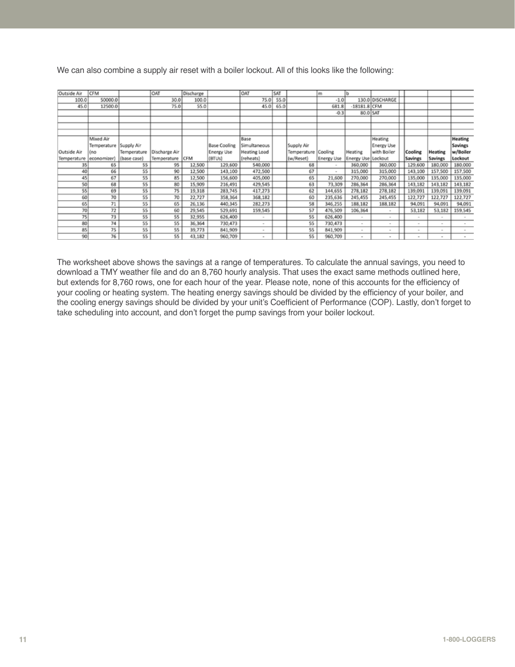| Outside Air | <b>CFM</b>   |             | <b>OAT</b>    | Discharge |                     | OAT                 | SAT  |             | m                 | lb                 |                   |         |         |                |
|-------------|--------------|-------------|---------------|-----------|---------------------|---------------------|------|-------------|-------------------|--------------------|-------------------|---------|---------|----------------|
| 100.0       | 50000.0      |             | 30.0          | 100.0     |                     | 75.0                | 55.0 |             | $-1.0$            |                    | 130.0 DISCHARGE   |         |         |                |
|             |              |             |               |           |                     |                     |      |             |                   |                    |                   |         |         |                |
| 45.0        | 12500.0      |             | 75.0          | 55.0      |                     | 45.0                | 65.0 |             | 681.8             | $18181.8$ CFM      |                   |         |         |                |
|             |              |             |               |           |                     |                     |      |             | $-0.3$            | 80.0 SAT           |                   |         |         |                |
|             |              |             |               |           |                     |                     |      |             |                   |                    |                   |         |         |                |
|             |              |             |               |           |                     |                     |      |             |                   |                    |                   |         |         |                |
|             |              |             |               |           |                     |                     |      |             |                   |                    |                   |         |         |                |
|             | Mixed Air    |             |               |           |                     | Base                |      |             |                   |                    | Heating           |         |         | <b>Heating</b> |
|             | Temperature  | Supply Air  |               |           | <b>Base Cooling</b> | Simultaneous        |      | Supply Air  |                   |                    | <b>Energy Use</b> |         |         | <b>Savings</b> |
| Outside Air | íno          | Temperature | Discharge Air |           | <b>Energy Use</b>   | <b>Heating Load</b> |      | Temperature | Cooling           | Heating            | with Boiler       | Cooling | Heating | w/Boiler       |
| Temperature | (economizer) | (base case) | Temperature   | CFM       | (BTUs)              | (reheats)           |      | (w/Reset)   | <b>Energy Use</b> | Energy Use Lockout |                   | Savings | Savings | Lockout        |
| 35          | 65           | 55          | 95            | 12,500    | 129,600             | 540,000             |      | 68          | $\sim$            | 360,000            | 360,000           | 129,600 | 180,000 | 180,000        |
| 40          | 66           | 55          | 90            | 12,500    | 143,100             | 472,500             |      | 67          | $\sim$            | 315,000            | 315,000           | 143,100 | 157,500 | 157,500        |
| 45          | 67           | 55          | 85            | 12,500    | 156,600             | 405,000             |      | 65          | 21,600            | 270,000            | 270,000           | 135,000 | 135,000 | 135,000        |
| 50          | 68           | 55          | 80            | 15,909    | 216,491             | 429,545             |      | 63          | 73,309            | 286,364            | 286,364           | 143,182 | 143,182 | 143,182        |
| SS          | 69           | 55          | 75            | 19,318    | 283,745             | 417,273             |      | 62          | 144,655           | 278,182            | 278,182           | 139,091 | 139,091 | 139,091        |
| 60          | 70           | 55          | 70            | 22,727    | 358,364             | 368,182             |      | 60          | 235,636           | 245,455            | 245,455           | 122,727 | 122,727 | 122,727        |
| 65          | 71           | 55          | 65            | 26,136    | 440,345             | 282,273             |      | 58          | 346,255           | 188,182            | 188,182           | 94,091  | 94,091  | 94,091         |
| 70          | 72           | 55          | 60            | 29,545    | 529,691             | 159,545             |      | 57          | 476,509           | 106,364            |                   | 53,182  | 53,182  | 159,545        |
| 75          | 73           | SS          | SS            | 32,955    | 626,400             | $\sim$              |      | 55          | 626,400           | $\sim$             |                   | $\sim$  | $\sim$  |                |
| 80          | 74           | 55          | 55            | 36,364    | 730,473             | $\sim$              |      | 55          | 730,473           | $\sim$             |                   | $\sim$  | $\sim$  | $\sim$         |
| 85          | 75           | 55          | 55            | 39,773    | 841,909             | $\sim$              |      | 55          | 841,909           | $\sim$             |                   |         | $\sim$  |                |
| 90          | 76           | 55          | 55            | 43,182    | 960,709             | $\sim$              |      | 55          | 960,709           | $\sim$             | $\sim$            | $\sim$  | $\sim$  |                |

We can also combine a supply air reset with a boiler lockout. All of this looks like the following:

The worksheet above shows the savings at a range of temperatures. To calculate the annual savings, you need to download a TMY weather file and do an 8,760 hourly analysis. That uses the exact same methods outlined here, but extends for 8,760 rows, one for each hour of the year. Please note, none of this accounts for the efficiency of your cooling or heating system. The heating energy savings should be divided by the efficiency of your boiler, and the cooling energy savings should be divided by your unit's Coefficient of Performance (COP). Lastly, don't forget to take scheduling into account, and don't forget the pump savings from your boiler lockout.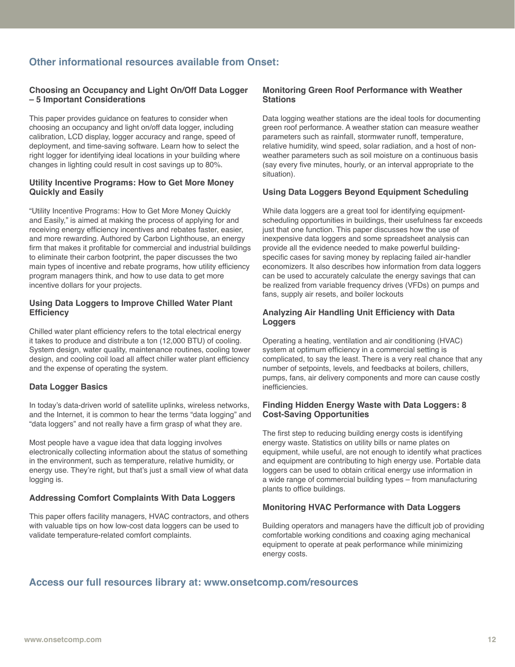# **Other informational resources available from Onset:**

#### **Choosing an Occupancy and Light On/Off Data Logger – 5 Important Considerations**

This paper provides guidance on features to consider when choosing an occupancy and light on/off data logger, including calibration, LCD display, logger accuracy and range, speed of deployment, and time-saving software. Learn how to select the right logger for identifying ideal locations in your building where changes in lighting could result in cost savings up to 80%.

#### **Utility Incentive Programs: How to Get More Money Quickly and Easily**

"Utility Incentive Programs: How to Get More Money Quickly and Easily," is aimed at making the process of applying for and receiving energy efficiency incentives and rebates faster, easier, and more rewarding. Authored by Carbon Lighthouse, an energy firm that makes it profitable for commercial and industrial buildings to eliminate their carbon footprint, the paper discusses the two main types of incentive and rebate programs, how utility efficiency program managers think, and how to use data to get more incentive dollars for your projects.

#### **Using Data Loggers to Improve Chilled Water Plant Efficiency**

Chilled water plant efficiency refers to the total electrical energy it takes to produce and distribute a ton (12,000 BTU) of cooling. System design, water quality, maintenance routines, cooling tower design, and cooling coil load all affect chiller water plant efficiency and the expense of operating the system.

#### **Data Logger Basics**

In today's data-driven world of satellite uplinks, wireless networks, and the Internet, it is common to hear the terms "data logging" and "data loggers" and not really have a firm grasp of what they are.

Most people have a vague idea that data logging involves electronically collecting information about the status of something in the environment, such as temperature, relative humidity, or energy use. They're right, but that's just a small view of what data logging is.

#### **Addressing Comfort Complaints With Data Loggers**

This paper offers facility managers, HVAC contractors, and others with valuable tips on how low-cost data loggers can be used to validate temperature-related comfort complaints.

#### **Monitoring Green Roof Performance with Weather Stations**

Data logging weather stations are the ideal tools for documenting green roof performance. A weather station can measure weather parameters such as rainfall, stormwater runoff, temperature, relative humidity, wind speed, solar radiation, and a host of nonweather parameters such as soil moisture on a continuous basis (say every five minutes, hourly, or an interval appropriate to the situation).

#### **Using Data Loggers Beyond Equipment Scheduling**

While data loggers are a great tool for identifying equipmentscheduling opportunities in buildings, their usefulness far exceeds just that one function. This paper discusses how the use of inexpensive data loggers and some spreadsheet analysis can provide all the evidence needed to make powerful buildingspecific cases for saving money by replacing failed air-handler economizers. It also describes how information from data loggers can be used to accurately calculate the energy savings that can be realized from variable frequency drives (VFDs) on pumps and fans, supply air resets, and boiler lockouts

#### **Analyzing Air Handling Unit Efficiency with Data Loggers**

Operating a heating, ventilation and air conditioning (HVAC) system at optimum efficiency in a commercial setting is complicated, to say the least. There is a very real chance that any number of setpoints, levels, and feedbacks at boilers, chillers, pumps, fans, air delivery components and more can cause costly inefficiencies.

#### **Finding Hidden Energy Waste with Data Loggers: 8 Cost-Saving Opportunities**

The first step to reducing building energy costs is identifying energy waste. Statistics on utility bills or name plates on equipment, while useful, are not enough to identify what practices and equipment are contributing to high energy use. Portable data loggers can be used to obtain critical energy use information in a wide range of commercial building types – from manufacturing plants to office buildings.

## **Monitoring HVAC Performance with Data Loggers**

Building operators and managers have the difficult job of providing comfortable working conditions and coaxing aging mechanical equipment to operate at peak performance while minimizing energy costs.

# **Access our full resources library at: [www.onsetcomp.com/resources](http://onsetcomp.com/learning)**